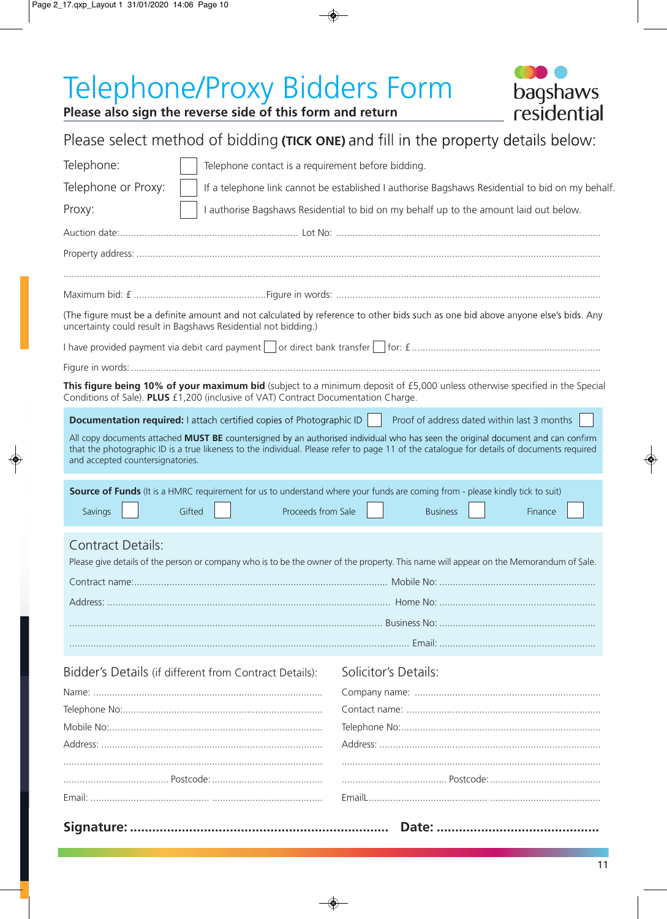# Telephone/Proxy Bidders Form



## residential **Please also sign the reverse side of this form and return** Please select method of bidding **(TICK ONE)** and fill in the property details below: Telephone: Telephone contact is a requirement before bidding. Telephone or Proxy: If a telephone link cannot be established I authorise Bagshaws Residential to bid on my behalf. Proxy: I authorise Bagshaws Residential to bid on my behalf up to the amount laid out below. Auction date: .................................................................. Lot No: .................................................................................................. Property address: ............................................................................................................................................................................ Maximum bid: £ .................................................Figure in words: .................................................................................................. (The figure must be a definite amount and not calculated by reference to other bids such as one bid above anyone else's bids. Any uncertainty could result in Bagshaws Residential not bidding.) I have provided payment via debit card payment or direct bank transfer for: £ ...................................................................... Figure in words: .............................................................................................................................................................................. This figure being 10% of your maximum bid (subject to a minimum deposit of £5,000 unless otherwise specified in the Special Conditions of Sale). **PLUS** £1,200 (inclusive of VAT) Contract Documentation Charge. **Documentation required:** Fattach certified copies of Photographic ID **Proof of address dated within last 3 months** All copy documents attached **MUST BE** countersigned by an authorised individual who has seen the original document and can confirm that the photographic ID is a true likeness to the individual. Please refer to page 11 of the catalogue for details of documents required and accepted countersignatories. **Source of Funds** (It is a HMRC requirement for us to understand where your funds are coming from - please kindly tick to suit) Savings **Figure 1** Gifted **Proceeds from Sale Business Finance** Business **Finance**

### Contract Details:

| Please give details of the person or company who is to be the owner of the property. This name will appear on the Memorandum of Sale. |  |
|---------------------------------------------------------------------------------------------------------------------------------------|--|
|                                                                                                                                       |  |
|                                                                                                                                       |  |

| Fmail: |
|--------|

Bidder's Details (if different from Contract Details):

| Solicitor's Details: |  |
|----------------------|--|
|                      |  |